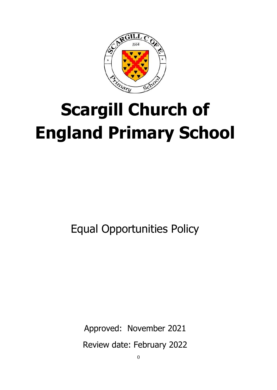

# **Scargill Church of England Primary School**

Equal Opportunities Policy

Approved: November 2021

Review date: February 2022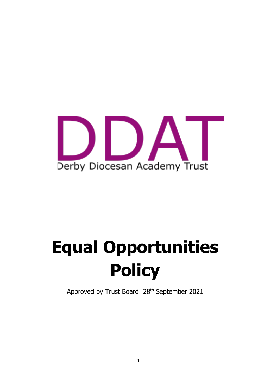

# **Equal Opportunities Policy**

Approved by Trust Board: 28<sup>th</sup> September 2021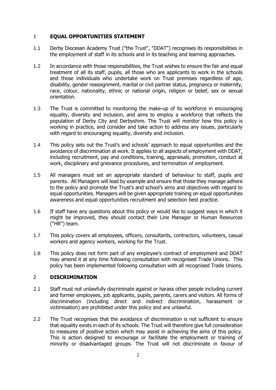# 1 **EQUAL OPPORTUNITIES STATEMENT**

- 1.1 Derby Diocesan Academy Trust ("the Trust", "DDAT") recognises its responsibilities in the employment of staff in its schools and in its teaching and learning approaches.
- 1.2 In accordance with those responsibilities, the Trust wishes to ensure the fair and equal treatment of all its staff, pupils, all those who are applicants to work in the schools and those individuals who undertake work on Trust premises regardless of age, disability, gender reassignment, marital or civil partner status, pregnancy or maternity, race, colour, nationality, ethnic or national origin, religion or belief, sex or sexual orientation.
- 1.3 The Trust is committed to monitoring the make-up of its workforce in encouraging equality, diversity and inclusion, and aims to employ a workforce that reflects the population of Derby City and Derbyshire. The Trust will monitor how this policy is working in practice, and consider and take action to address any issues, particularly with regard to encouraging equality, diversity and inclusion.
- 1.4 This policy sets out the Trust's and schools' approach to equal opportunities and the avoidance of discrimination at work. It applies to all aspects of employment with DDAT, including recruitment, pay and conditions, training, appraisals, promotion, conduct at work, disciplinary and grievance procedures, and termination of employment.
- 1.5 All managers must set an appropriate standard of behaviour to staff, pupils and parents. All Managers will lead by example and ensure that those they manage adhere to the policy and promote the Trust's and school's aims and objectives with regard to equal opportunities. Managers will be given appropriate training on equal opportunities awareness and equal opportunities recruitment and selection best practice.
- 1.6 If staff have any questions about this policy or would like to suggest ways in which it might be improved, they should contact their Line Manager or Human Resources ("HR") team.
- 1.7 This policy covers all employees, officers, consultants, contractors, volunteers, casual workers and agency workers, working for the Trust.
- 1.8 This policy does not form part of any employee's contract of employment and DDAT may amend it at any time following consultation with recognised Trade Unions. This policy has been implemented following consultation with all recognised Trade Unions.

#### 2 **DISCRIMINATION**

- 2.1 Staff must not unlawfully discriminate against or harass other people including current and former employees, job applicants, pupils, parents, carers and visitors. All forms of discrimination (including direct and indirect discrimination, harassment or victimisation) are prohibited under this policy and are unlawful.
- 2.2 The Trust recognises that the avoidance of discrimination is not sufficient to ensure that equality exists in each of its schools. The Trust will therefore give full consideration to measures of positive action which may assist in achieving the aims of this policy. This is action designed to encourage or facilitate the employment or training of minority or disadvantaged groups. The Trust will not discriminate in favour of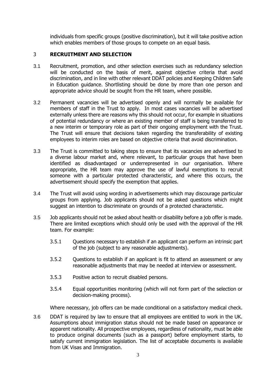individuals from specific groups (positive discrimination), but it will take positive action which enables members of those groups to compete on an equal basis.

### 3 **RECRUITMENT AND SELECTION**

- 3.1 Recruitment, promotion, and other selection exercises such as redundancy selection will be conducted on the basis of merit, against objective criteria that avoid discrimination, and in line with other relevant DDAT policies and Keeping Children Safe in Education guidance. Shortlisting should be done by more than one person and appropriate advice should be sought from the HR team, where possible.
- 3.2 Permanent vacancies will be advertised openly and will normally be available for members of staff in the Trust to apply. In most cases vacancies will be advertised externally unless there are reasons why this should not occur, for example in situations of potential redundancy or where an existing member of staff is being transferred to a new interim or temporary role as part of their ongoing employment with the Trust. The Trust will ensure that decisions taken regarding the transferability of existing employees to interim roles are based on objective criteria that avoid discrimination.
- 3.3 The Trust is committed to taking steps to ensure that its vacancies are advertised to a diverse labour market and, where relevant, to particular groups that have been identified as disadvantaged or underrepresented in our organisation. Where appropriate, the HR team may approve the use of lawful exemptions to recruit someone with a particular protected characteristic, and where this occurs, the advertisement should specify the exemption that applies.
- 3.4 The Trust will avoid using wording in advertisements which may discourage particular groups from applying. Job applicants should not be asked questions which might suggest an intention to discriminate on grounds of a protected characteristic.
- 3.5 Job applicants should not be asked about health or disability before a job offer is made. There are limited exceptions which should only be used with the approval of the HR team. For example:
	- 3.5.1 Questions necessary to establish if an applicant can perform an intrinsic part of the job (subject to any reasonable adjustments).
	- 3.5.2 Questions to establish if an applicant is fit to attend an assessment or any reasonable adjustments that may be needed at interview or assessment.
	- 3.5.3 Positive action to recruit disabled persons.
	- 3.5.4 Equal opportunities monitoring (which will not form part of the selection or decision-making process).

Where necessary, job offers can be made conditional on a satisfactory medical check.

3.6 DDAT is required by law to ensure that all employees are entitled to work in the UK. Assumptions about immigration status should not be made based on appearance or apparent nationality. All prospective employees, regardless of nationality, must be able to produce original documents (such as a passport) before employment starts, to satisfy current immigration legislation. The list of acceptable documents is available from UK Visas and Immigration.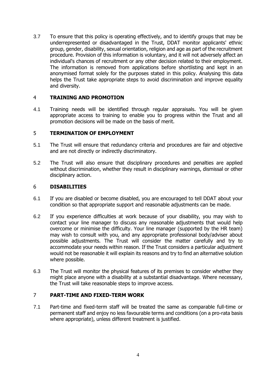3.7 To ensure that this policy is operating effectively, and to identify groups that may be underrepresented or disadvantaged in the Trust, DDAT monitor applicants' ethnic group, gender, disability, sexual orientation, religion and age as part of the recruitment procedure. Provision of this information is voluntary, and it will not adversely affect an individual's chances of recruitment or any other decision related to their employment. The information is removed from applications before shortlisting and kept in an anonymised format solely for the purposes stated in this policy. Analysing this data helps the Trust take appropriate steps to avoid discrimination and improve equality and diversity.

# 4 **TRAINING AND PROMOTION**

4.1 Training needs will be identified through regular appraisals. You will be given appropriate access to training to enable you to progress within the Trust and all promotion decisions will be made on the basis of merit.

# 5 **TERMINATION OF EMPLOYMENT**

- 5.1 The Trust will ensure that redundancy criteria and procedures are fair and objective and are not directly or indirectly discriminatory.
- 5.2 The Trust will also ensure that disciplinary procedures and penalties are applied without discrimination, whether they result in disciplinary warnings, dismissal or other disciplinary action.

#### 6 **DISABILITIES**

- 6.1 If you are disabled or become disabled, you are encouraged to tell DDAT about your condition so that appropriate support and reasonable adjustments can be made.
- 6.2 If you experience difficulties at work because of your disability, you may wish to contact your line manager to discuss any reasonable adjustments that would help overcome or minimise the difficulty. Your line manager (supported by the HR team) may wish to consult with you, and any appropriate professional body/adviser about possible adjustments. The Trust will consider the matter carefully and try to accommodate your needs within reason. If the Trust considers a particular adjustment would not be reasonable it will explain its reasons and try to find an alternative solution where possible.
- 6.3 The Trust will monitor the physical features of its premises to consider whether they might place anyone with a disability at a substantial disadvantage. Where necessary, the Trust will take reasonable steps to improve access.

# 7 **PART-TIME AND FIXED-TERM WORK**

7.1 Part-time and fixed-term staff will be treated the same as comparable full-time or permanent staff and enjoy no less favourable terms and conditions (on a pro-rata basis where appropriate), unless different treatment is justified.